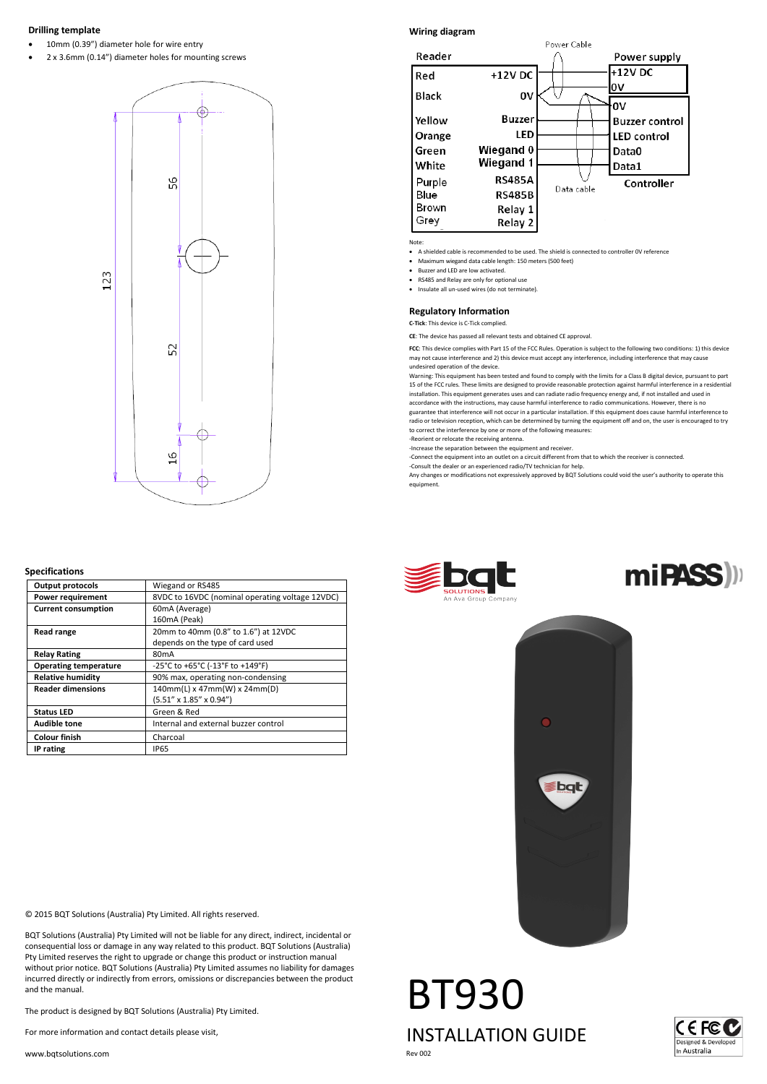# **Drilling template**

10mm (0.39") diameter hole for wire entry

• 2 x 3.6mm (0.14") diameter holes for mounting screws



# **Specifications**

| <b>Output protocols</b>      | Wiegand or RS485                                |
|------------------------------|-------------------------------------------------|
| <b>Power requirement</b>     | 8VDC to 16VDC (nominal operating voltage 12VDC) |
| <b>Current consumption</b>   | 60mA (Average)                                  |
|                              | 160mA (Peak)                                    |
| Read range                   | 20mm to 40mm (0.8" to 1.6") at 12VDC            |
|                              | depends on the type of card used                |
| <b>Relay Rating</b>          | 80 <sub>m</sub> A                               |
| <b>Operating temperature</b> | -25°C to +65°C (-13°F to +149°F)                |
| <b>Relative humidity</b>     | 90% max, operating non-condensing               |
| <b>Reader dimensions</b>     | 140mm(L) x 47mm(W) x 24mm(D)                    |
|                              | $(5.51'' \times 1.85'' \times 0.94'')$          |
| <b>Status LED</b>            | Green & Red                                     |
| <b>Audible tone</b>          | Internal and external buzzer control            |
| <b>Colour finish</b>         | Charcoal                                        |
| IP rating                    | <b>IP65</b>                                     |

© 2015 BQT Solutions (Australia) Pty Limited. All rights reserved.

BQT Solutions (Australia) Pty Limited will not be liable for any direct, indirect, incidental or consequential loss or damage in any way related to this product. BQT Solutions (Australia) Pty Limited reserves the right to upgrade or change this product or instruction manual without prior notice. BQT Solutions (Australia) Pty Limited assumes no liability for damages incurred directly or indirectly from errors, omissions or discrepancies between the product and the manual.

The product is designed by BQT Solutions (Australia) Pty Limited.

For more information and contact details please visit,

www.bqtsolutions.com

# **Wiring diagram**



Note:

- A shielded cable is recommended to be used. The shield is connected to controller 0V reference
- Maximum wiegand data cable length: 150 meters (500 feet)
- Buzzer and LED are low activated.
- RS485 and Relay are only for optional use
- Insulate all un-used wires (do not terminate).

**Regulatory Information C-Tick**: This device is C-Tick complied.

**CE**: The device has passed all relevant tests and obtained CE approval.

FCC: This device complies with Part 15 of the FCC Rules. Operation is subject to the following two conditions: 1) this device<br>may not cause interference and 2) this device must accept any interference, including interferen undesired operation of the device.

Warning: This equipment has been tested and found to comply with the limits for a Class B digital device, pursuant to part 15 of the FCC rules. These limits are designed to provide reasonable protection against harmful interference in a residentia<br>installation. This equipment generates uses and can radiate radio frequency energy and, if not in accordance with the instructions, may cause harmful interference to radio communications. However, there is no

guarantee that interference will not occur in a particular installation. If this equipment does cause harmful interference to radio or television reception, which can be determined by turning the equipment off and on, the user is encouraged to try to correct the interference by one or more of the following measures: -Reorient or relocate the receiving antenna.

-Increase the separation between the equipment and receiver.

-Connect the equipment into an outlet on a circuit different from that to which the receiver is connected.

-Consult the dealer or an experienced radio/TV technician for help.

Any changes or modifications not expressively approved by BQT Solutions could void the user's authority to operate this equipment.







BT930 INSTALLATION GUIDE Rev 002